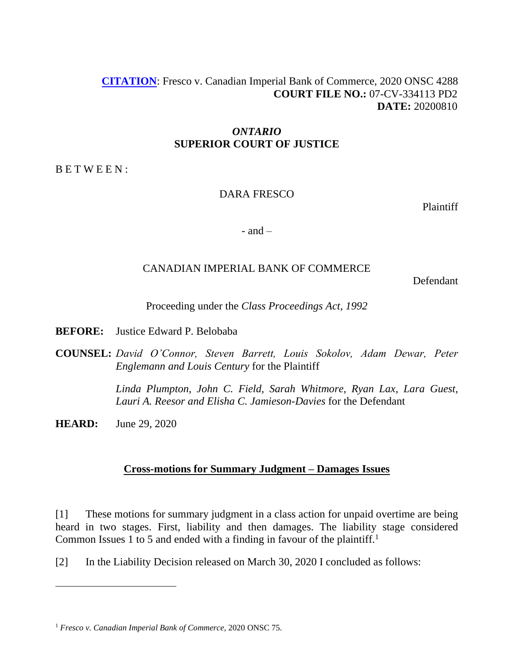# **[CITATION](http://intra.judicialsecurity.jus.gov.on.ca/NeutralCitation/)**: Fresco v. Canadian Imperial Bank of Commerce, 2020 ONSC 4288 **COURT FILE NO.:** 07-CV-334113 PD2 **DATE:** 20200810

## *ONTARIO* **SUPERIOR COURT OF JUSTICE**

B E T W E E N :

## DARA FRESCO

Plaintiff

- and  $-$ 

# CANADIAN IMPERIAL BANK OF COMMERCE

Defendant

Proceeding under the *Class Proceedings Act, 1992*

**BEFORE:** Justice Edward P. Belobaba

**COUNSEL:** *David O'Connor, Steven Barrett, Louis Sokolov, Adam Dewar, Peter Englemann and Louis Century* for the Plaintiff

> *Linda Plumpton, John C. Field, Sarah Whitmore, Ryan Lax, Lara Guest, Lauri A. Reesor and Elisha C. Jamieson-Davies* for the Defendant

**HEARD:** June 29, 2020

# **Cross-motions for Summary Judgment – Damages Issues**

[1] These motions for summary judgment in a class action for unpaid overtime are being heard in two stages. First, liability and then damages. The liability stage considered Common Issues 1 to 5 and ended with a finding in favour of the plaintiff.<sup>1</sup>

[2] In the Liability Decision released on March 30, 2020 I concluded as follows:

<sup>1</sup> *Fresco v. Canadian Imperial Bank of Commerce,* 2020 ONSC 75.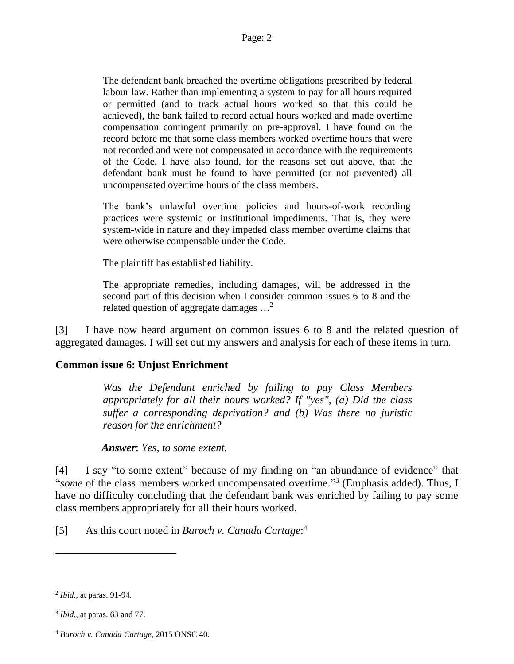The defendant bank breached the overtime obligations prescribed by federal labour law. Rather than implementing a system to pay for all hours required or permitted (and to track actual hours worked so that this could be achieved), the bank failed to record actual hours worked and made overtime compensation contingent primarily on pre-approval. I have found on the record before me that some class members worked overtime hours that were not recorded and were not compensated in accordance with the requirements of the Code. I have also found, for the reasons set out above, that the defendant bank must be found to have permitted (or not prevented) all uncompensated overtime hours of the class members.

The bank's unlawful overtime policies and hours-of-work recording practices were systemic or institutional impediments. That is, they were system-wide in nature and they impeded class member overtime claims that were otherwise compensable under the Code.

The plaintiff has established liability.

The appropriate remedies, including damages, will be addressed in the second part of this decision when I consider common issues 6 to 8 and the related question of aggregate damages  $\ldots^2$ 

[3] I have now heard argument on common issues 6 to 8 and the related question of aggregated damages. I will set out my answers and analysis for each of these items in turn.

### **Common issue 6: Unjust Enrichment**

*Was the Defendant enriched by failing to pay Class Members appropriately for all their hours worked? If "yes", (a) Did the class suffer a corresponding deprivation? and (b) Was there no juristic reason for the enrichment?*

 *Answer*: *Yes, to some extent.*

[4] I say "to some extent" because of my finding on "an abundance of evidence" that "some of the class members worked uncompensated overtime."<sup>3</sup> (Emphasis added). Thus, I have no difficulty concluding that the defendant bank was enriched by failing to pay some class members appropriately for all their hours worked.

[5] As this court noted in *Baroch v. Canada Cartage*: 4

<sup>2</sup> *Ibid.,* at paras. 91-94.

<sup>3</sup> *Ibid.,* at paras. 63 and 77.

<sup>4</sup> *Baroch v. Canada Cartage,* 2015 ONSC 40.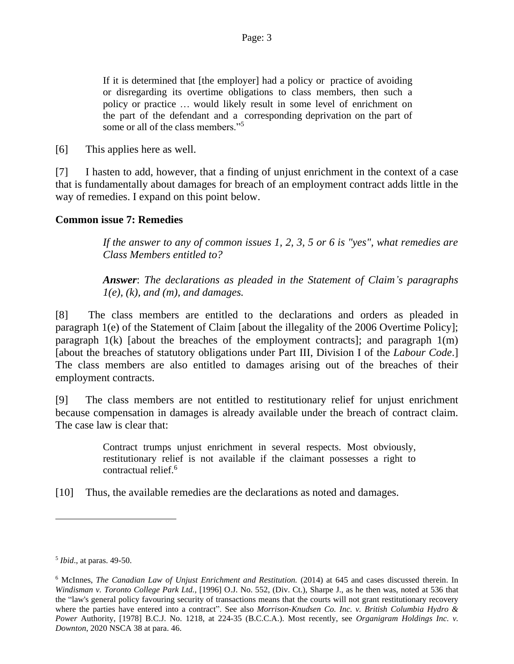If it is determined that [the employer] had a policy or practice of avoiding or disregarding its overtime obligations to class members, then such a policy or practice … would likely result in some level of enrichment on the part of the defendant and a corresponding deprivation on the part of some or all of the class members."<sup>5</sup>

[6] This applies here as well.

[7] I hasten to add, however, that a finding of unjust enrichment in the context of a case that is fundamentally about damages for breach of an employment contract adds little in the way of remedies. I expand on this point below.

#### **Common issue 7: Remedies**

*If the answer to any of common issues 1, 2, 3, 5 or 6 is "yes", what remedies are Class Members entitled to?*

*Answer*: *The declarations as pleaded in the Statement of Claim's paragraphs 1(e), (k), and (m), and damages.* 

[8] The class members are entitled to the declarations and orders as pleaded in paragraph 1(e) of the Statement of Claim [about the illegality of the 2006 Overtime Policy]; paragraph  $1(k)$  [about the breaches of the employment contracts]; and paragraph  $1(m)$ [about the breaches of statutory obligations under Part III, Division I of the *Labour Code*.] The class members are also entitled to damages arising out of the breaches of their employment contracts.

[9] The class members are not entitled to restitutionary relief for unjust enrichment because compensation in damages is already available under the breach of contract claim. The case law is clear that:

> Contract trumps unjust enrichment in several respects. Most obviously, restitutionary relief is not available if the claimant possesses a right to contractual relief. 6

[10] Thus, the available remedies are the declarations as noted and damages.

<sup>5</sup> *Ibid*., at paras. 49-50.

<sup>6</sup> McInnes, *The Canadian Law of Unjust Enrichment and Restitution.* (2014) at 645 and cases discussed therein. In *Windisman v. Toronto College Park Ltd.,* [1996] O.J. No. 552, (Div. Ct.), Sharpe J., as he then was, noted at 536 that the "law's general policy favouring security of transactions means that the courts will not grant restitutionary recovery where the parties have entered into a contract". See also *Morrison-Knudsen Co. Inc. v. British Columbia Hydro & Power* Authority, [1978] B.C.J. No. 1218, at 224-35 (B.C.C.A.). Most recently, see *Organigram Holdings Inc. v. Downton*, 2020 NSCA 38 at para. 46.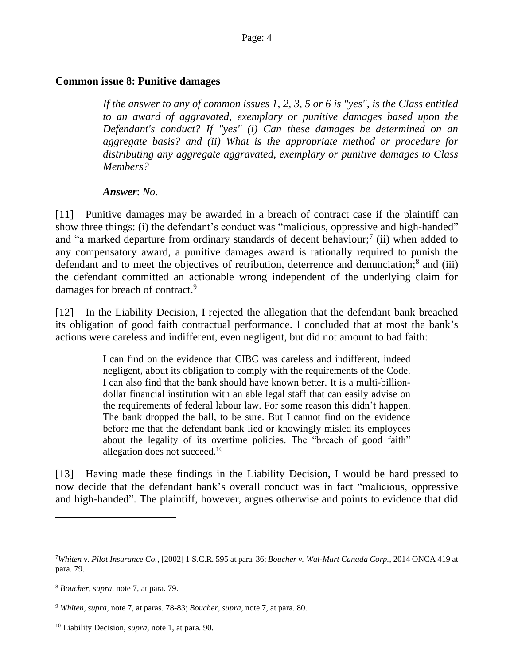## **Common issue 8: Punitive damages**

*If the answer to any of common issues 1, 2, 3, 5 or 6 is "yes", is the Class entitled to an award of aggravated, exemplary or punitive damages based upon the Defendant's conduct? If "yes" (i) Can these damages be determined on an aggregate basis? and (ii) What is the appropriate method or procedure for distributing any aggregate aggravated, exemplary or punitive damages to Class Members?*

*Answer*: *No.*

[11] Punitive damages may be awarded in a breach of contract case if the plaintiff can show three things: (i) the defendant's conduct was "malicious, oppressive and high-handed" and "a marked departure from ordinary standards of decent behaviour;<sup>7</sup> (ii) when added to any compensatory award, a punitive damages award is rationally required to punish the defendant and to meet the objectives of retribution, deterrence and denunciation;<sup>8</sup> and (iii) the defendant committed an actionable wrong independent of the underlying claim for damages for breach of contract.<sup>9</sup>

[12] In the Liability Decision, I rejected the allegation that the defendant bank breached its obligation of good faith contractual performance. I concluded that at most the bank's actions were careless and indifferent, even negligent, but did not amount to bad faith:

> I can find on the evidence that CIBC was careless and indifferent, indeed negligent, about its obligation to comply with the requirements of the Code. I can also find that the bank should have known better. It is a multi-billiondollar financial institution with an able legal staff that can easily advise on the requirements of federal labour law. For some reason this didn't happen. The bank dropped the ball, to be sure. But I cannot find on the evidence before me that the defendant bank lied or knowingly misled its employees about the legality of its overtime policies. The "breach of good faith" allegation does not succeed.<sup>10</sup>

[13] Having made these findings in the Liability Decision, I would be hard pressed to now decide that the defendant bank's overall conduct was in fact "malicious, oppressive and high-handed". The plaintiff, however, argues otherwise and points to evidence that did

<sup>7</sup>*Whiten v. Pilot Insurance Co.,* [2002] 1 S.C.R. 595 at para. 36; *Boucher v. Wal-Mart Canada Corp.,* 2014 [ONCA](http://canlii.ca/t/g6xvb#par79) 419 at [para. 79.](http://canlii.ca/t/g6xvb#par79)

<sup>8</sup> *Boucher, supra,* note 7, at para. 79.

<sup>9</sup> *Whiten, supra,* note 7, at [paras. 78-83;](http://canlii.ca/t/51vn#par78) *Boucher, supra,* note 7, at [para. 80.](http://canlii.ca/t/g6xvb#par80)

<sup>10</sup> Liability Decision, *supra*, note 1, at para. 90.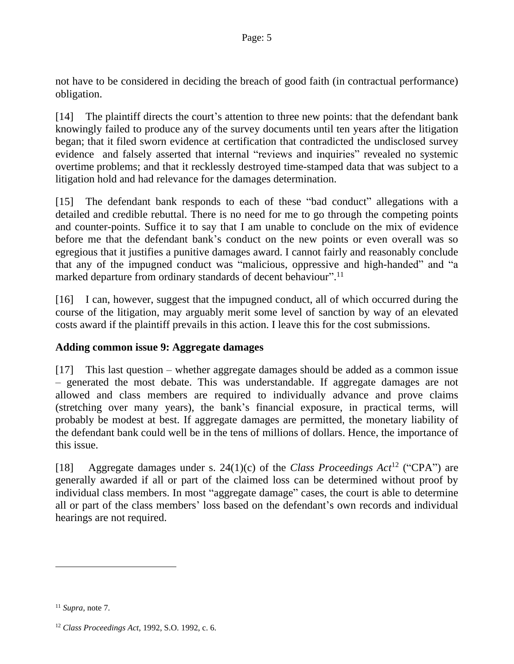not have to be considered in deciding the breach of good faith (in contractual performance) obligation.

[14] The plaintiff directs the court's attention to three new points: that the defendant bank knowingly failed to produce any of the survey documents until ten years after the litigation began; that it filed sworn evidence at certification that contradicted the undisclosed survey evidence and falsely asserted that internal "reviews and inquiries" revealed no systemic overtime problems; and that it recklessly destroyed time-stamped data that was subject to a litigation hold and had relevance for the damages determination.

[15] The defendant bank responds to each of these "bad conduct" allegations with a detailed and credible rebuttal. There is no need for me to go through the competing points and counter-points. Suffice it to say that I am unable to conclude on the mix of evidence before me that the defendant bank's conduct on the new points or even overall was so egregious that it justifies a punitive damages award. I cannot fairly and reasonably conclude that any of the impugned conduct was "malicious, oppressive and high-handed" and "a marked departure from ordinary standards of decent behaviour".<sup>11</sup>

[16] I can, however, suggest that the impugned conduct, all of which occurred during the course of the litigation, may arguably merit some level of sanction by way of an elevated costs award if the plaintiff prevails in this action. I leave this for the cost submissions.

# **Adding common issue 9: Aggregate damages**

[17] This last question – whether aggregate damages should be added as a common issue – generated the most debate. This was understandable. If aggregate damages are not allowed and class members are required to individually advance and prove claims (stretching over many years), the bank's financial exposure, in practical terms, will probably be modest at best. If aggregate damages are permitted, the monetary liability of the defendant bank could well be in the tens of millions of dollars. Hence, the importance of this issue.

[18] Aggregate damages under s. 24(1)(c) of the *Class Proceedings Act*<sup>12</sup> ("CPA") are generally awarded if all or part of the claimed loss can be determined without proof by individual class members. In most "aggregate damage" cases, the court is able to determine all or part of the class members' loss based on the defendant's own records and individual hearings are not required.

<sup>11</sup> *Supra,* note 7.

<sup>12</sup> *Class Proceedings Act*, 1992, S.O. 1992, c. 6.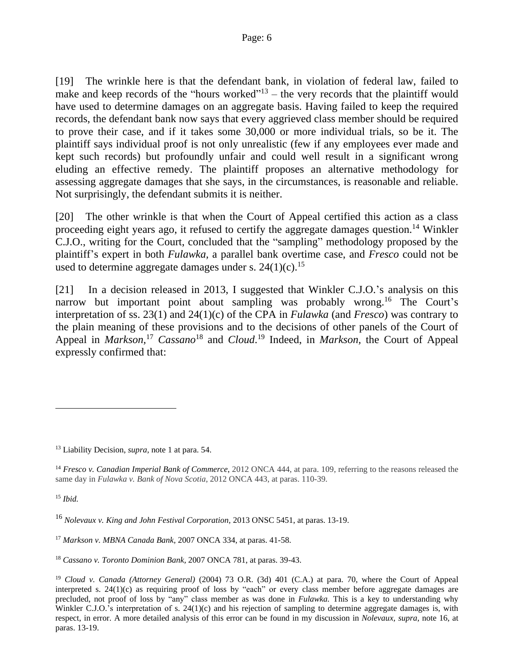[19] The wrinkle here is that the defendant bank, in violation of federal law, failed to make and keep records of the "hours worked"<sup> $13$ </sup> – the very records that the plaintiff would have used to determine damages on an aggregate basis. Having failed to keep the required records, the defendant bank now says that every aggrieved class member should be required to prove their case, and if it takes some 30,000 or more individual trials, so be it. The plaintiff says individual proof is not only unrealistic (few if any employees ever made and kept such records) but profoundly unfair and could well result in a significant wrong eluding an effective remedy. The plaintiff proposes an alternative methodology for assessing aggregate damages that she says, in the circumstances, is reasonable and reliable. Not surprisingly, the defendant submits it is neither.

[20] The other wrinkle is that when the Court of Appeal certified this action as a class proceeding eight years ago, it refused to certify the aggregate damages question.<sup>14</sup> Winkler C.J.O., writing for the Court, concluded that the "sampling" methodology proposed by the plaintiff's expert in both *Fulawka,* a parallel bank overtime case, and *Fresco* could not be used to determine aggregate damages under s.  $24(1)(c)$ .<sup>15</sup>

[21] In a decision released in 2013, I suggested that Winkler C.J.O.'s analysis on this narrow but important point about sampling was probably wrong.<sup>16</sup> The Court's interpretation of ss. 23(1) and 24(1)(c) of the CPA in *Fulawka* (and *Fresco*) was contrary to the plain meaning of these provisions and to the decisions of other panels of the Court of Appeal in *Markson*,<sup>17</sup> *Cassano*<sup>18</sup> and *Cloud*.<sup>19</sup> Indeed, in *Markson*, the Court of Appeal expressly confirmed that:

<sup>15</sup> *Ibid.*

<sup>18</sup> *Cassano v. Toronto Dominion Bank,* 2007 ONCA 781, at paras. 39-43.

<sup>13</sup> Liability Decision, *supra,* note 1 at para. 54.

<sup>14</sup> *Fresco v. Canadian Imperial Bank of Commerce*, 2012 ONCA 444, at para. 109, referring to the reasons released the same day in *Fulawka v. Bank of Nova Scotia*, 2012 ONCA 443, at paras. 110-39.

<sup>16</sup> *Nolevaux v. King and John Festival Corporation,* 2013 ONSC 5451, at paras. 13-19.

<sup>17</sup> *Markson v. MBNA Canada Bank,* 2007 ONCA 334, at paras. 41-58.

<sup>19</sup> *Cloud v. Canada (Attorney General)* (2004) 73 O.R. (3d) 401 (C.A.) at para. 70, where the Court of Appeal interpreted s. 24(1)(c) as requiring proof of loss by "each" or every class member before aggregate damages are precluded, not proof of loss by "any" class member as was done in *Fulawka.* This is a key to understanding why Winkler C.J.O.'s interpretation of s. 24(1)(c) and his rejection of sampling to determine aggregate damages is, with respect, in error. A more detailed analysis of this error can be found in my discussion in *Nolevaux, supra,* note 16, at paras. 13-19.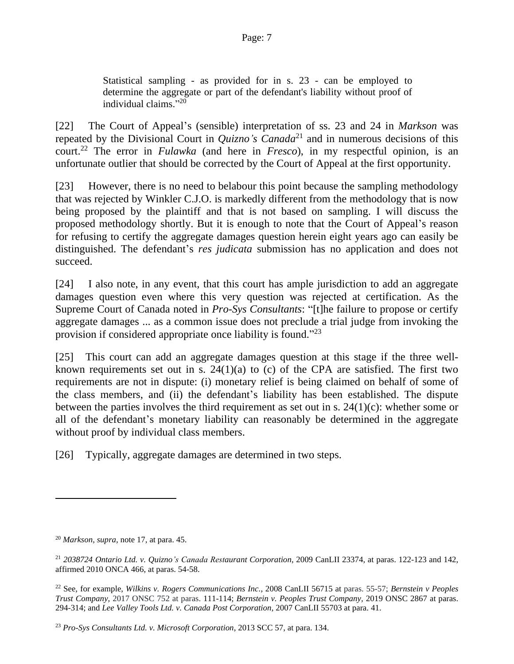Statistical sampling - as provided for in s. 23 - can be employed to determine the aggregate or part of the defendant's liability without proof of individual claims." 20

[22] The Court of Appeal's (sensible) interpretation of ss. 23 and 24 in *Markson* was repeated by the Divisional Court in *Quizno's Canada*<sup>21</sup> and in numerous decisions of this court. <sup>22</sup> The error in *Fulawka* (and here in *Fresco*), in my respectful opinion, is an unfortunate outlier that should be corrected by the Court of Appeal at the first opportunity.

[23] However, there is no need to belabour this point because the sampling methodology that was rejected by Winkler C.J.O. is markedly different from the methodology that is now being proposed by the plaintiff and that is not based on sampling. I will discuss the proposed methodology shortly. But it is enough to note that the Court of Appeal's reason for refusing to certify the aggregate damages question herein eight years ago can easily be distinguished. The defendant's *res judicata* submission has no application and does not succeed.

[24] I also note, in any event, that this court has ample jurisdiction to add an aggregate damages question even where this very question was rejected at certification. As the Supreme Court of Canada noted in *Pro-Sys Consultants*: "[t]he failure to propose or certify aggregate damages ... as a common issue does not preclude a trial judge from invoking the provision if considered appropriate once liability is found."<sup>23</sup>

[25] This court can add an aggregate damages question at this stage if the three wellknown requirements set out in s.  $24(1)(a)$  to (c) of the CPA are satisfied. The first two requirements are not in dispute: (i) monetary relief is being claimed on behalf of some of the class members, and (ii) the defendant's liability has been established. The dispute between the parties involves the third requirement as set out in s.  $24(1)(c)$ : whether some or all of the defendant's monetary liability can reasonably be determined in the aggregate without proof by individual class members.

[26] Typically, aggregate damages are determined in two steps.

<sup>20</sup> *Markson, supra,* note 17, at para. 45.

<sup>21</sup> *2038724 Ontario Ltd. v. Quizno's Canada Restaurant Corporation*, 2009 CanLII 23374, at paras. [122-123](about:blank#par122) and [142,](about:blank#par14) affirmed 2010 ONCA 466, at paras. [54-58.](about:blank#par54)

<sup>22</sup> See, for example, *Wilkins v. Rogers Communications Inc.,* 2008 [CanLII 56715 a](about:blank)t paras. 55-57; *Bernstein v Peoples Trust Company,* 2017 ONSC 752 at paras. [111-114;](about:blank#par111) *Bernstein v. Peoples Trust Company,* 2019 ONSC 2867 at paras. [294-314;](about:blank#par294) and *Lee Valley Tools Ltd. v. Canada Post Corporation*, 2007 CanLII 55703 at para. [41.](about:blank#par41)

<sup>23</sup> *Pro-Sys Consultants Ltd. v. Microsoft Corporation*, [2013](https://www.canlii.org/en/ca/scc/doc/2013/2013scc57/2013scc57.html) SCC 57, at para[. 134.](https://www.canlii.org/en/ca/scc/doc/2013/2013scc57/2013scc57.html#par134)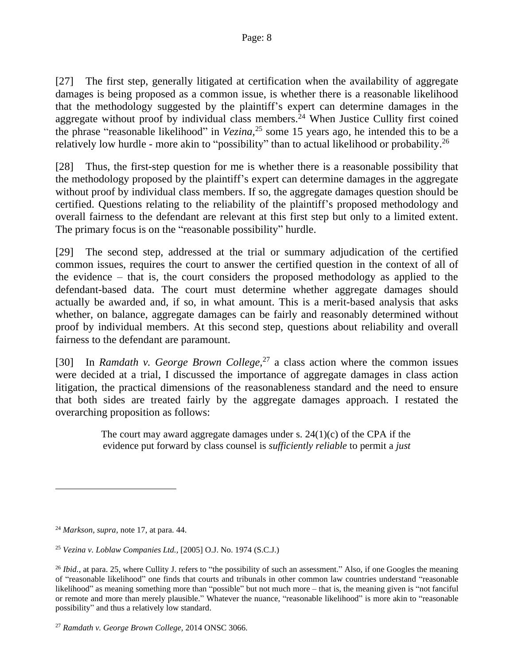[27] The first step, generally litigated at certification when the availability of aggregate damages is being proposed as a common issue, is whether there is a reasonable likelihood that the methodology suggested by the plaintiff's expert can determine damages in the aggregate without proof by individual class members.<sup>24</sup> When Justice Cullity first coined the phrase "reasonable likelihood" in *Vezina,* <sup>25</sup> some 15 years ago, he intended this to be a relatively low hurdle - more akin to "possibility" than to actual likelihood or probability.<sup>26</sup>

[28] Thus, the first-step question for me is whether there is a reasonable possibility that the methodology proposed by the plaintiff's expert can determine damages in the aggregate without proof by individual class members. If so, the aggregate damages question should be certified. Questions relating to the reliability of the plaintiff's proposed methodology and overall fairness to the defendant are relevant at this first step but only to a limited extent. The primary focus is on the "reasonable possibility" hurdle.

[29] The second step, addressed at the trial or summary adjudication of the certified common issues, requires the court to answer the certified question in the context of all of the evidence – that is, the court considers the proposed methodology as applied to the defendant-based data. The court must determine whether aggregate damages should actually be awarded and, if so, in what amount. This is a merit-based analysis that asks whether, on balance, aggregate damages can be fairly and reasonably determined without proof by individual members. At this second step, questions about reliability and overall fairness to the defendant are paramount.

[30] In *Ramdath v. George Brown College,* <sup>27</sup> a class action where the common issues were decided at a trial, I discussed the importance of aggregate damages in class action litigation, the practical dimensions of the reasonableness standard and the need to ensure that both sides are treated fairly by the aggregate damages approach. I restated the overarching proposition as follows:

> The court may award aggregate damages under s.  $24(1)(c)$  of the CPA if the evidence put forward by class counsel is *sufficiently reliable* to permit a *just*

<sup>24</sup> *Markson, supra,* note 17, at para. 44.

<sup>25</sup> *Vezina v. Loblaw Companies Ltd.,* [2005] O.J. No. 1974 (S.C.J.)

<sup>&</sup>lt;sup>26</sup> *Ibid.*, at para. 25, where Cullity J. refers to "the possibility of such an assessment." Also, if one Googles the meaning of "reasonable likelihood" one finds that courts and tribunals in other common law countries understand "reasonable likelihood" as meaning something more than "possible" but not much more – that is, the meaning given is "not fanciful or remote and more than merely plausible." Whatever the nuance, "reasonable likelihood" is more akin to "reasonable possibility" and thus a relatively low standard.

<sup>27</sup> *Ramdath v. George Brown College,* 2014 ONSC 3066.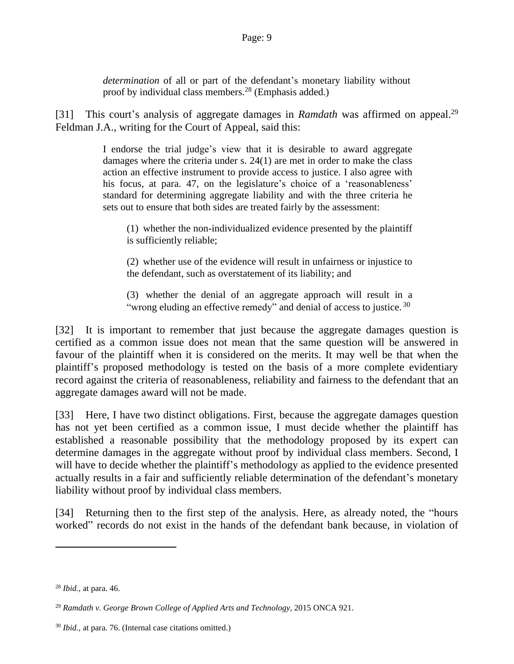*determination* of all or part of the defendant's monetary liability without proof by individual class members.<sup>28</sup> (Emphasis added.)

[31] This court's analysis of aggregate damages in *Ramdath* was affirmed on appeal.<sup>29</sup> Feldman J.A., writing for the Court of Appeal, said this:

> I endorse the trial judge's view that it is desirable to award aggregate damages where the criteria under s. 24(1) are met in order to make the class action an effective instrument to provide access to justice. I also agree with his focus, at para. 47, on the legislature's choice of a 'reasonableness' standard for determining aggregate liability and with the three criteria he sets out to ensure that both sides are treated fairly by the assessment:

(1) whether the non-individualized evidence presented by the plaintiff is sufficiently reliable;

(2) whether use of the evidence will result in unfairness or injustice to the defendant, such as overstatement of its liability; and

(3) whether the denial of an aggregate approach will result in a "wrong eluding an effective remedy" and denial of access to justice.<sup>30</sup>

[32] It is important to remember that just because the aggregate damages question is certified as a common issue does not mean that the same question will be answered in favour of the plaintiff when it is considered on the merits. It may well be that when the plaintiff's proposed methodology is tested on the basis of a more complete evidentiary record against the criteria of reasonableness, reliability and fairness to the defendant that an aggregate damages award will not be made.

[33] Here, I have two distinct obligations. First, because the aggregate damages question has not yet been certified as a common issue, I must decide whether the plaintiff has established a reasonable possibility that the methodology proposed by its expert can determine damages in the aggregate without proof by individual class members. Second, I will have to decide whether the plaintiff's methodology as applied to the evidence presented actually results in a fair and sufficiently reliable determination of the defendant's monetary liability without proof by individual class members.

[34] Returning then to the first step of the analysis. Here, as already noted, the "hours" worked" records do not exist in the hands of the defendant bank because, in violation of

<sup>28</sup> *Ibid.,* at para. 46.

<sup>29</sup> *Ramdath v. George Brown College of Applied Arts and Technology,* 2015 ONCA 921.

<sup>30</sup> *Ibid.,* at para. 76. (Internal case citations omitted.)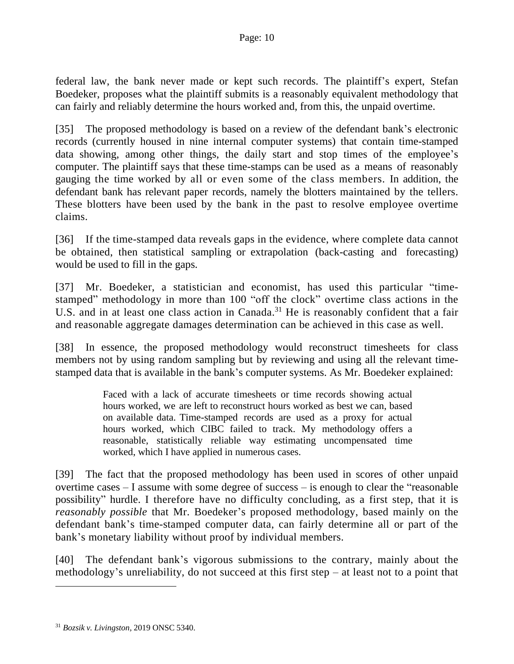federal law, the bank never made or kept such records. The plaintiff's expert, Stefan Boedeker, proposes what the plaintiff submits is a reasonably equivalent methodology that can fairly and reliably determine the hours worked and, from this, the unpaid overtime.

[35] The proposed methodology is based on a review of the defendant bank's electronic records (currently housed in nine internal computer systems) that contain time-stamped data showing, among other things, the daily start and stop times of the employee's computer. The plaintiff says that these time-stamps can be used as a means of reasonably gauging the time worked by all or even some of the class members. In addition, the defendant bank has relevant paper records, namely the blotters maintained by the tellers. These blotters have been used by the bank in the past to resolve employee overtime claims.

[36] If the time-stamped data reveals gaps in the evidence, where complete data cannot be obtained, then statistical sampling or extrapolation (back-casting and forecasting) would be used to fill in the gaps.

[37] Mr. Boedeker, a statistician and economist, has used this particular "timestamped" methodology in more than 100 "off the clock" overtime class actions in the U.S. and in at least one class action in Canada.<sup>31</sup> He is reasonably confident that a fair and reasonable aggregate damages determination can be achieved in this case as well.

[38] In essence, the proposed methodology would reconstruct timesheets for class members not by using random sampling but by reviewing and using all the relevant timestamped data that is available in the bank's computer systems. As Mr. Boedeker explained:

> Faced with a lack of accurate timesheets or time records showing actual hours worked, we are left to reconstruct hours worked as best we can, based on available data. Time-stamped records are used as a proxy for actual hours worked, which CIBC failed to track. My methodology offers a reasonable, statistically reliable way estimating uncompensated time worked, which I have applied in numerous cases.

[39] The fact that the proposed methodology has been used in scores of other unpaid overtime cases – I assume with some degree of success – is enough to clear the "reasonable possibility" hurdle. I therefore have no difficulty concluding, as a first step, that it is *reasonably possible* that Mr. Boedeker's proposed methodology, based mainly on the defendant bank's time-stamped computer data, can fairly determine all or part of the bank's monetary liability without proof by individual members.

[40] The defendant bank's vigorous submissions to the contrary, mainly about the methodology's unreliability, do not succeed at this first step – at least not to a point that

<sup>31</sup> *Bozsik v. Livingston,* 2019 [ONSC](https://www.canlii.org/en/on/onsc/doc/2019/2019onsc5340/2019onsc5340.html) 5340.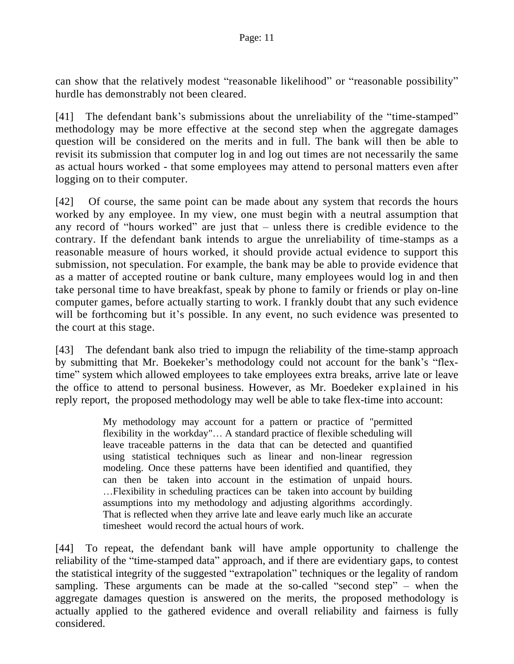can show that the relatively modest "reasonable likelihood" or "reasonable possibility" hurdle has demonstrably not been cleared.

[41] The defendant bank's submissions about the unreliability of the "time-stamped" methodology may be more effective at the second step when the aggregate damages question will be considered on the merits and in full. The bank will then be able to revisit its submission that computer log in and log out times are not necessarily the same as actual hours worked - that some employees may attend to personal matters even after logging on to their computer.

[42] Of course, the same point can be made about any system that records the hours worked by any employee. In my view, one must begin with a neutral assumption that any record of "hours worked" are just that – unless there is credible evidence to the contrary. If the defendant bank intends to argue the unreliability of time-stamps as a reasonable measure of hours worked, it should provide actual evidence to support this submission, not speculation. For example, the bank may be able to provide evidence that as a matter of accepted routine or bank culture, many employees would log in and then take personal time to have breakfast, speak by phone to family or friends or play on-line computer games, before actually starting to work. I frankly doubt that any such evidence will be forthcoming but it's possible. In any event, no such evidence was presented to the court at this stage.

[43] The defendant bank also tried to impugn the reliability of the time-stamp approach by submitting that Mr. Boekeker's methodology could not account for the bank's "flextime" system which allowed employees to take employees extra breaks, arrive late or leave the office to attend to personal business. However, as Mr. Boedeker explained in his reply report, the proposed methodology may well be able to take flex-time into account:

> My methodology may account for a pattern or practice of "permitted flexibility in the workday"… A standard practice of flexible scheduling will leave traceable patterns in the data that can be detected and quantified using statistical techniques such as linear and non-linear regression modeling. Once these patterns have been identified and quantified, they can then be taken into account in the estimation of unpaid hours. …Flexibility in scheduling practices can be taken into account by building assumptions into my methodology and adjusting algorithms accordingly. That is reflected when they arrive late and leave early much like an accurate timesheet would record the actual hours of work.

[44] To repeat, the defendant bank will have ample opportunity to challenge the reliability of the "time-stamped data" approach, and if there are evidentiary gaps, to contest the statistical integrity of the suggested "extrapolation" techniques or the legality of random sampling. These arguments can be made at the so-called "second step" – when the aggregate damages question is answered on the merits, the proposed methodology is actually applied to the gathered evidence and overall reliability and fairness is fully considered.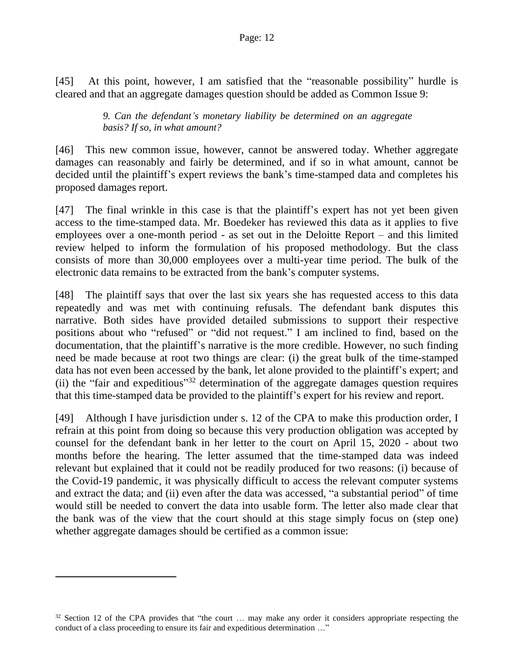[45] At this point, however, I am satisfied that the "reasonable possibility" hurdle is cleared and that an aggregate damages question should be added as Common Issue 9:

## *9. Can the defendant's monetary liability be determined on an aggregate basis? If so, in what amount?*

[46] This new common issue, however, cannot be answered today. Whether aggregate damages can reasonably and fairly be determined, and if so in what amount, cannot be decided until the plaintiff's expert reviews the bank's time-stamped data and completes his proposed damages report.

[47] The final wrinkle in this case is that the plaintiff's expert has not yet been given access to the time-stamped data. Mr. Boedeker has reviewed this data as it applies to five employees over a one-month period - as set out in the Deloitte Report – and this limited review helped to inform the formulation of his proposed methodology. But the class consists of more than 30,000 employees over a multi-year time period. The bulk of the electronic data remains to be extracted from the bank's computer systems.

[48] The plaintiff says that over the last six years she has requested access to this data repeatedly and was met with continuing refusals. The defendant bank disputes this narrative. Both sides have provided detailed submissions to support their respective positions about who "refused" or "did not request." I am inclined to find, based on the documentation, that the plaintiff's narrative is the more credible. However, no such finding need be made because at root two things are clear: (i) the great bulk of the time-stamped data has not even been accessed by the bank, let alone provided to the plaintiff's expert; and (ii) the "fair and expeditious" <sup>32</sup> determination of the aggregate damages question requires that this time-stamped data be provided to the plaintiff's expert for his review and report.

[49] Although I have jurisdiction under s. 12 of the CPA to make this production order, I refrain at this point from doing so because this very production obligation was accepted by counsel for the defendant bank in her letter to the court on April 15, 2020 - about two months before the hearing. The letter assumed that the time-stamped data was indeed relevant but explained that it could not be readily produced for two reasons: (i) because of the Covid-19 pandemic, it was physically difficult to access the relevant computer systems and extract the data; and (ii) even after the data was accessed, "a substantial period" of time would still be needed to convert the data into usable form. The letter also made clear that the bank was of the view that the court should at this stage simply focus on (step one) whether aggregate damages should be certified as a common issue:

 $32$  Section 12 of the CPA provides that "the court  $\ldots$  may make any order it considers appropriate respecting the conduct of a class proceeding to ensure its fair and expeditious determination …"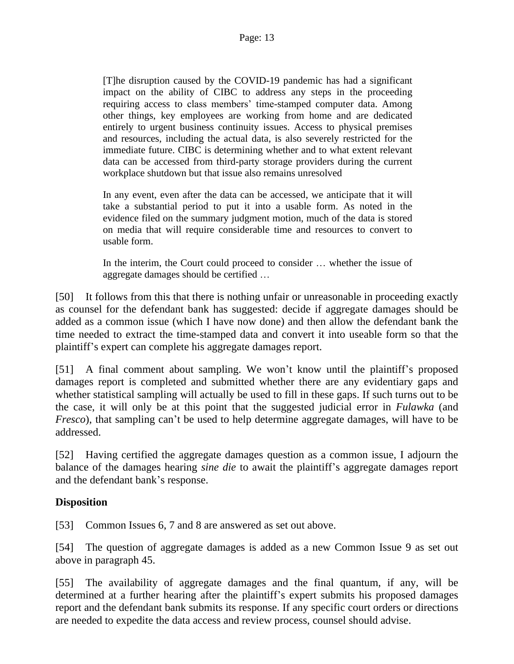[T]he disruption caused by the COVID-19 pandemic has had a significant impact on the ability of CIBC to address any steps in the proceeding requiring access to class members' time-stamped computer data. Among other things, key employees are working from home and are dedicated entirely to urgent business continuity issues. Access to physical premises and resources, including the actual data, is also severely restricted for the immediate future. CIBC is determining whether and to what extent relevant data can be accessed from third-party storage providers during the current workplace shutdown but that issue also remains unresolved

In any event, even after the data can be accessed, we anticipate that it will take a substantial period to put it into a usable form. As noted in the evidence filed on the summary judgment motion, much of the data is stored on media that will require considerable time and resources to convert to usable form.

In the interim, the Court could proceed to consider … whether the issue of aggregate damages should be certified …

[50] It follows from this that there is nothing unfair or unreasonable in proceeding exactly as counsel for the defendant bank has suggested: decide if aggregate damages should be added as a common issue (which I have now done) and then allow the defendant bank the time needed to extract the time-stamped data and convert it into useable form so that the plaintiff's expert can complete his aggregate damages report.

[51] A final comment about sampling. We won't know until the plaintiff's proposed damages report is completed and submitted whether there are any evidentiary gaps and whether statistical sampling will actually be used to fill in these gaps. If such turns out to be the case, it will only be at this point that the suggested judicial error in *Fulawka* (and *Fresco*), that sampling can't be used to help determine aggregate damages, will have to be addressed.

[52] Having certified the aggregate damages question as a common issue, I adjourn the balance of the damages hearing *sine die* to await the plaintiff's aggregate damages report and the defendant bank's response.

# **Disposition**

[53] Common Issues 6, 7 and 8 are answered as set out above.

[54] The question of aggregate damages is added as a new Common Issue 9 as set out above in paragraph 45.

[55] The availability of aggregate damages and the final quantum, if any, will be determined at a further hearing after the plaintiff's expert submits his proposed damages report and the defendant bank submits its response. If any specific court orders or directions are needed to expedite the data access and review process, counsel should advise.